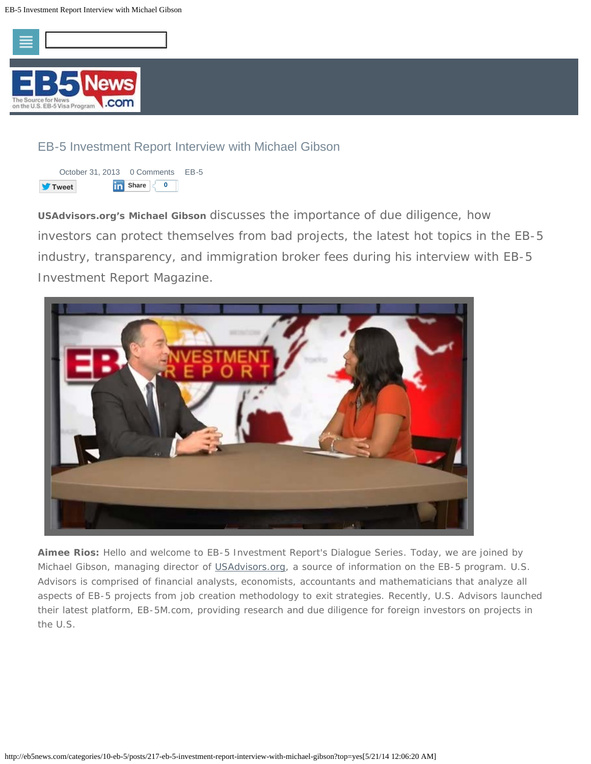



*USAdvisors.org's Michael Gibson* discusses the importance of due diligence, how investors can protect themselves from bad projects, the latest hot topics in the EB-5 industry, transparency, and immigration broker fees during his interview with *EB-5 Investment Report Magazine*.



*Aimee Rios:* Hello and welcome to *EB-5 Investment Report's Dialogue Series*. Today, we are joined by Michael Gibson, managing director of [USAdvisors.org](http://www.usadvisors.org/), a source of information on the EB-5 program. U.S. Advisors is comprised of financial analysts, economists, accountants and mathematicians that analyze all aspects of EB-5 projects from job creation methodology to exit strategies. Recently, U.S. Advisors launched their latest platform, EB-5M.com, providing research and due diligence for foreign investors on projects in the U.S.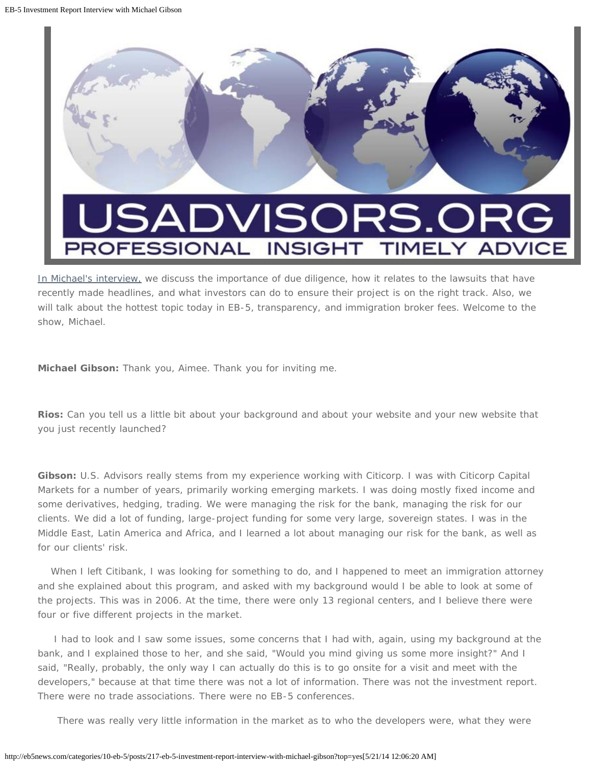

# **DVISORS.** 5AI ROFESSIONAL **INSIGHT**

[In Michael's interview,](http://www.youtube.com/watch?v=r5uMgZZaTFA#t=645) we discuss the importance of due diligence, how it relates to the lawsuits that have recently made headlines, and what investors can do to ensure their project is on the right track. Also, we will talk about the hottest topic today in EB-5, transparency, and immigration broker fees. Welcome to the show, Michael.

*Michael Gibson:* Thank you, Aimee. Thank you for inviting me.

*Rios:* Can you tell us a little bit about your background and about your website and your new website that you just recently launched?

*Gibson:* U.S. Advisors really stems from my experience working with Citicorp. I was with Citicorp Capital Markets for a number of years, primarily working emerging markets. I was doing mostly fixed income and some derivatives, hedging, trading. We were managing the risk for the bank, managing the risk for our clients. We did a lot of funding, large-project funding for some very large, sovereign states. I was in the Middle East, Latin America and Africa, and I learned a lot about managing our risk for the bank, as well as for our clients' risk.

When I left Citibank, I was looking for something to do, and I happened to meet an immigration attorney and she explained about this program, and asked with my background would I be able to look at some of the projects. This was in 2006. At the time, there were only 13 regional centers, and I believe there were four or five different projects in the market.

I had to look and I saw some issues, some concerns that I had with, again, using my background at the bank, and I explained those to her, and she said, "Would you mind giving us some more insight?" And I said, "Really, probably, the only way I can actually do this is to go onsite for a visit and meet with the developers," because at that time there was not a lot of information. There was not the investment report. There were no trade associations. There were no EB-5 conferences.

There was really very little information in the market as to who the developers were, what they were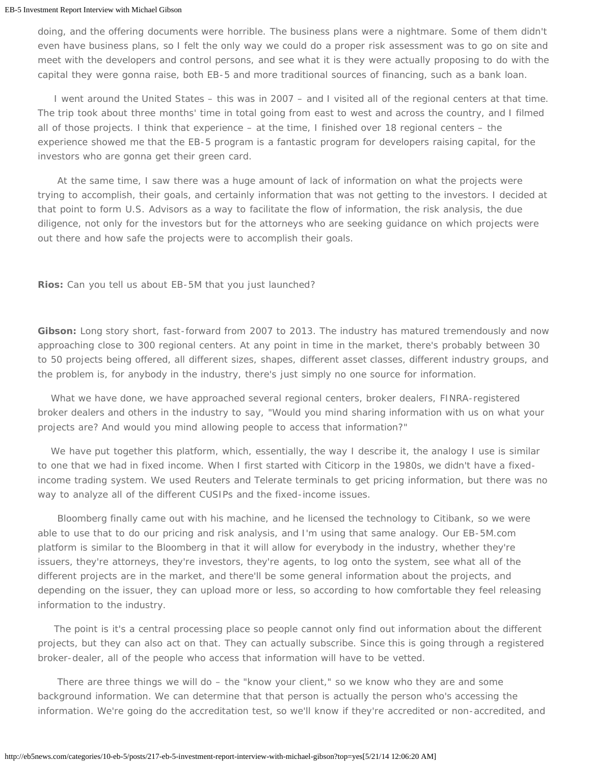doing, and the offering documents were horrible. The business plans were a nightmare. Some of them didn't even have business plans, so I felt the only way we could do a proper risk assessment was to go on site and meet with the developers and control persons, and see what it is they were actually proposing to do with the capital they were gonna raise, both EB-5 and more traditional sources of financing, such as a bank loan.

I went around the United States – this was in 2007 – and I visited all of the regional centers at that time. The trip took about three months' time in total going from east to west and across the country, and I filmed all of those projects. I think that experience – at the time, I finished over 18 regional centers – the experience showed me that the EB-5 program is a fantastic program for developers raising capital, for the investors who are gonna get their green card.

 At the same time, I saw there was a huge amount of lack of information on what the projects were trying to accomplish, their goals, and certainly information that was not getting to the investors. I decided at that point to form U.S. Advisors as a way to facilitate the flow of information, the risk analysis, the due diligence, not only for the investors but for the attorneys who are seeking guidance on which projects were out there and how safe the projects were to accomplish their goals.

*Rios:* Can you tell us about EB-5M that you just launched?

*Gibson:* Long story short, fast-forward from 2007 to 2013. The industry has matured tremendously and now approaching close to 300 regional centers. At any point in time in the market, there's probably between 30 to 50 projects being offered, all different sizes, shapes, different asset classes, different industry groups, and the problem is, for anybody in the industry, there's just simply no one source for information.

 What we have done, we have approached several regional centers, broker dealers, FINRA-registered broker dealers and others in the industry to say, "Would you mind sharing information with us on what your projects are? And would you mind allowing people to access that information?"

We have put together this platform, which, essentially, the way I describe it, the analogy I use is similar to one that we had in fixed income. When I first started with Citicorp in the 1980s, we didn't have a fixedincome trading system. We used Reuters and Telerate terminals to get pricing information, but there was no way to analyze all of the different CUSIPs and the fixed-income issues.

 Bloomberg finally came out with his machine, and he licensed the technology to Citibank, so we were able to use that to do our pricing and risk analysis, and I'm using that same analogy. Our EB-5M.com platform is similar to the Bloomberg in that it will allow for everybody in the industry, whether they're issuers, they're attorneys, they're investors, they're agents, to log onto the system, see what all of the different projects are in the market, and there'll be some general information about the projects, and depending on the issuer, they can upload more or less, so according to how comfortable they feel releasing information to the industry.

The point is it's a central processing place so people cannot only find out information about the different projects, but they can also act on that. They can actually subscribe. Since this is going through a registered broker-dealer, all of the people who access that information will have to be vetted.

 There are three things we will do – the "know your client," so we know who they are and some background information. We can determine that that person is actually the person who's accessing the information. We're going do the accreditation test, so we'll know if they're accredited or non-accredited, and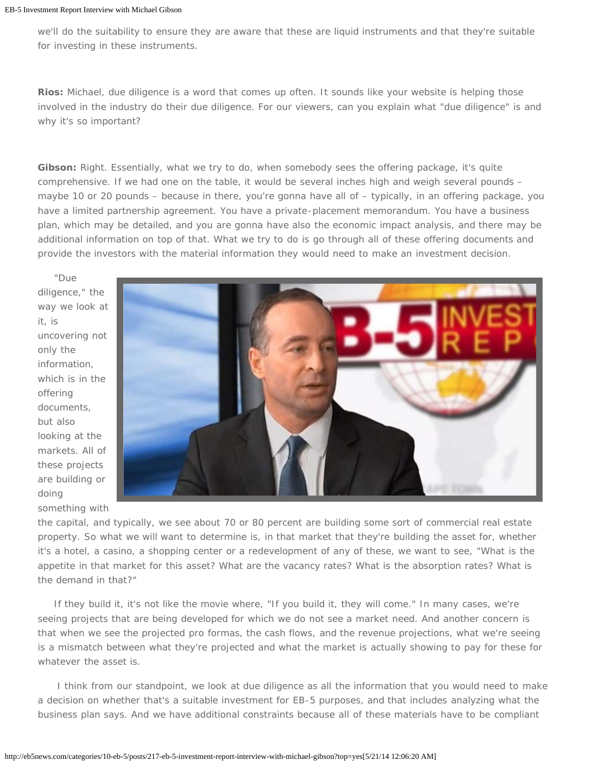we'll do the suitability to ensure they are aware that these are liquid instruments and that they're suitable for investing in these instruments.

*Rios:* Michael, due diligence is a word that comes up often. It sounds like your website is helping those involved in the industry do their due diligence. For our viewers, can you explain what "due diligence" is and why it's so important?

*Gibson:* Right. Essentially, what we try to do, when somebody sees the offering package, it's quite comprehensive. If we had one on the table, it would be several inches high and weigh several pounds – maybe 10 or 20 pounds – because in there, you're gonna have all of – typically, in an offering package, you have a limited partnership agreement. You have a private-placement memorandum. You have a business plan, which may be detailed, and you are gonna have also the economic impact analysis, and there may be additional information on top of that. What we try to do is go through all of these offering documents and provide the investors with the material information they would need to make an investment decision.

diligence," the way we look at it, is uncovering not only the information, which is in the offering documents, but also looking at the markets. All of these projects are building or doing

"Due



something with

the capital, and typically, we see about 70 or 80 percent are building some sort of commercial real estate property. So what we will want to determine is, in that market that they're building the asset for, whether it's a hotel, a casino, a shopping center or a redevelopment of any of these, we want to see, "What is the appetite in that market for this asset? What are the vacancy rates? What is the absorption rates? What is the demand in that?"

If they build it, it's not like the movie where, "If you build it, they will come." In many cases, we're seeing projects that are being developed for which we do not see a market need. And another concern is that when we see the projected pro formas, the cash flows, and the revenue projections, what we're seeing is a mismatch between what they're projected and what the market is actually showing to pay for these for whatever the asset is.

 I think from our standpoint, we look at due diligence as all the information that you would need to make a decision on whether that's a suitable investment for EB-5 purposes, and that includes analyzing what the business plan says. And we have additional constraints because all of these materials have to be compliant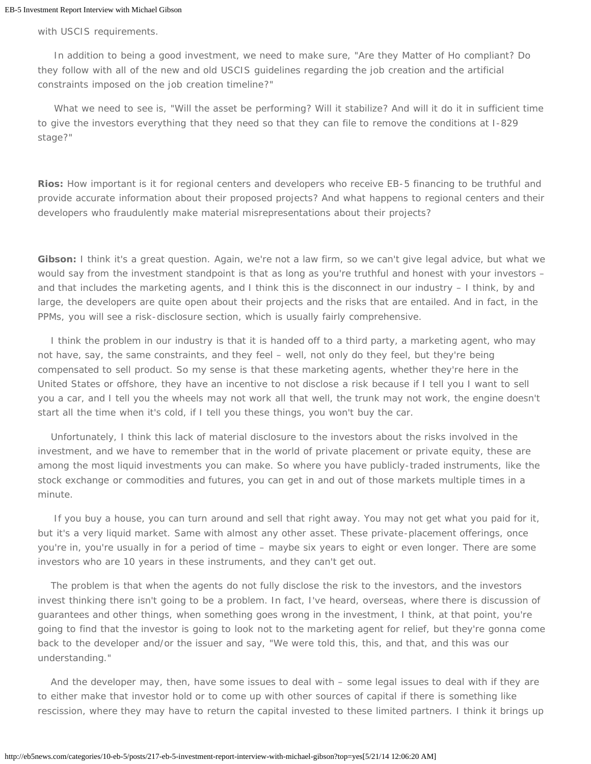with USCIS requirements.

In addition to being a good investment, we need to make sure, "Are they Matter of Ho compliant? Do they follow with all of the new and old USCIS guidelines regarding the job creation and the artificial constraints imposed on the job creation timeline?"

What we need to see is, "Will the asset be performing? Will it stabilize? And will it do it in sufficient time to give the investors everything that they need so that they can file to remove the conditions at I-829 stage?"

*Rios:* How important is it for regional centers and developers who receive EB-5 financing to be truthful and provide accurate information about their proposed projects? And what happens to regional centers and their developers who fraudulently make material misrepresentations about their projects?

*Gibson:* I think it's a great question. Again, we're not a law firm, so we can't give legal advice, but what we would say from the investment standpoint is that as long as you're truthful and honest with your investors and that includes the marketing agents, and I think this is the disconnect in our industry – I think, by and large, the developers are quite open about their projects and the risks that are entailed. And in fact, in the PPMs, you will see a risk-disclosure section, which is usually fairly comprehensive.

 I think the problem in our industry is that it is handed off to a third party, a marketing agent, who may not have, say, the same constraints, and they feel – well, not only do they feel, but they're being compensated to sell product. So my sense is that these marketing agents, whether they're here in the United States or offshore, they have an incentive to not disclose a risk because if I tell you I want to sell you a car, and I tell you the wheels may not work all that well, the trunk may not work, the engine doesn't start all the time when it's cold, if I tell you these things, you won't buy the car.

 Unfortunately, I think this lack of material disclosure to the investors about the risks involved in the investment, and we have to remember that in the world of private placement or private equity, these are among the most liquid investments you can make. So where you have publicly-traded instruments, like the stock exchange or commodities and futures, you can get in and out of those markets multiple times in a minute.

If you buy a house, you can turn around and sell that right away. You may not get what you paid for it, but it's a very liquid market. Same with almost any other asset. These private-placement offerings, once you're in, you're usually in for a period of time – maybe six years to eight or even longer. There are some investors who are 10 years in these instruments, and they can't get out.

 The problem is that when the agents do not fully disclose the risk to the investors, and the investors invest thinking there isn't going to be a problem. In fact, I've heard, overseas, where there is discussion of guarantees and other things, when something goes wrong in the investment, I think, at that point, you're going to find that the investor is going to look not to the marketing agent for relief, but they're gonna come back to the developer and/or the issuer and say, "We were told this, this, and that, and this was our understanding."

 And the developer may, then, have some issues to deal with – some legal issues to deal with if they are to either make that investor hold or to come up with other sources of capital if there is something like rescission, where they may have to return the capital invested to these limited partners. I think it brings up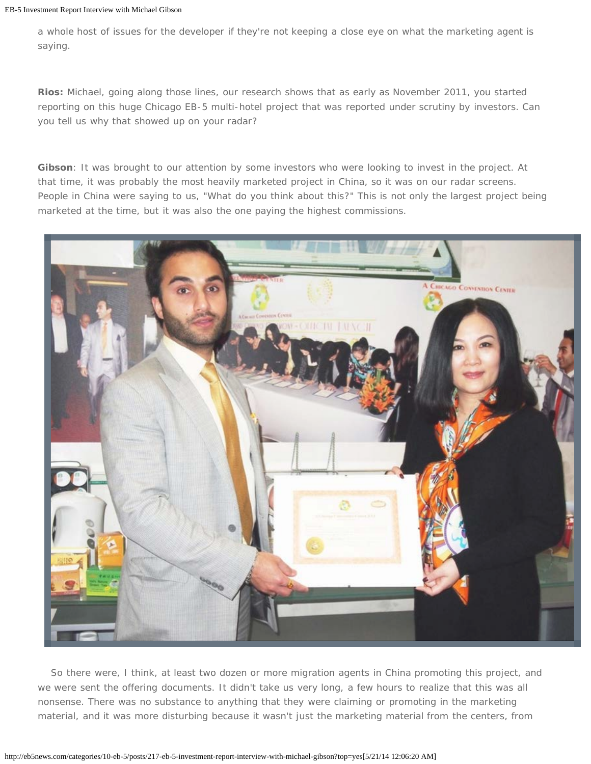a whole host of issues for the developer if they're not keeping a close eye on what the marketing agent is saying.

*Rios:* Michael, going along those lines, our research shows that as early as November 2011, you started reporting on this huge Chicago EB-5 multi-hotel project that was reported under scrutiny by investors. Can you tell us why that showed up on your radar?

*Gibson:* It was brought to our attention by some investors who were looking to invest in the project. At that time, it was probably the most heavily marketed project in China, so it was on our radar screens. People in China were saying to us, "What do you think about this?" This is not only the largest project being marketed at the time, but it was also the one paying the highest commissions.



 So there were, I think, at least two dozen or more migration agents in China promoting this project, and we were sent the offering documents. It didn't take us very long, a few hours to realize that this was all nonsense. There was no substance to anything that they were claiming or promoting in the marketing material, and it was more disturbing because it wasn't just the marketing material from the centers, from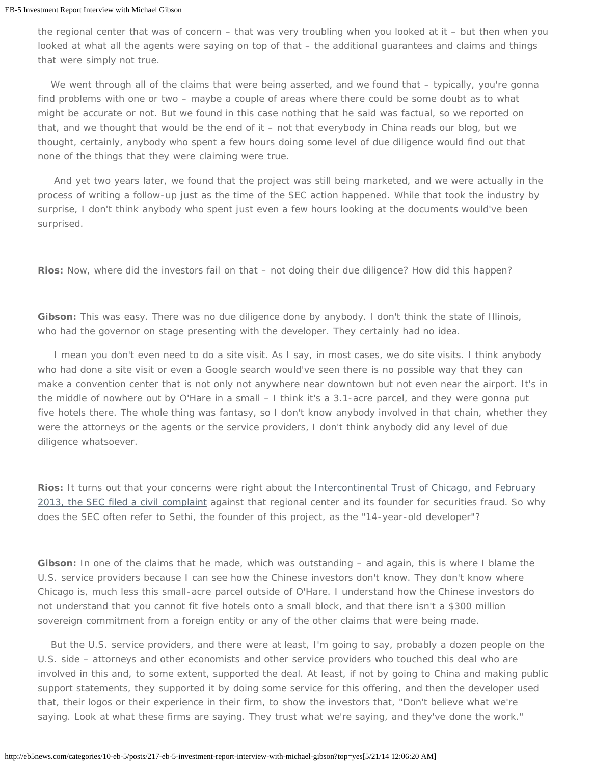the regional center that was of concern – that was very troubling when you looked at it – but then when you looked at what all the agents were saying on top of that – the additional guarantees and claims and things that were simply not true.

We went through all of the claims that were being asserted, and we found that – typically, you're gonna find problems with one or two – maybe a couple of areas where there could be some doubt as to what might be accurate or not. But we found in this case nothing that he said was factual, so we reported on that, and we thought that would be the end of it – not that everybody in China reads our blog, but we thought, certainly, anybody who spent a few hours doing some level of due diligence would find out that none of the things that they were claiming were true.

And yet two years later, we found that the project was still being marketed, and we were actually in the process of writing a follow-up just as the time of the SEC action happened. While that took the industry by surprise, I don't think anybody who spent just even a few hours looking at the documents would've been surprised.

**Rios:** Now, where did the investors fail on that – not doing their due diligence? How did this happen?

Gibson: This was easy. There was no due diligence done by anybody. I don't think the state of Illinois, who had the governor on stage presenting with the developer. They certainly had no idea.

I mean you don't even need to do a site visit. As I say, in most cases, we do site visits. I think anybody who had done a site visit or even a Google search would've seen there is no possible way that they can make a convention center that is not only not anywhere near downtown but not even near the airport. It's in the middle of nowhere out by O'Hare in a small – I think it's a 3.1-acre parcel, and they were gonna put five hotels there. The whole thing was fantasy, so I don't know anybody involved in that chain, whether they were the attorneys or the agents or the service providers, I don't think anybody did any level of due diligence whatsoever.

*Rios:* It turns out that your concerns were right about the *[Intercontinental Trust of Chicago, and February](http://eb5news.com/categories/9-general/posts/143-sec-uscis-take-action-to-stop-eb-5-visa-scheme-committing-fraud)* [2013, the SEC filed a civil complaint](http://eb5news.com/categories/9-general/posts/143-sec-uscis-take-action-to-stop-eb-5-visa-scheme-committing-fraud) against that regional center and its founder for securities fraud. So why does the SEC often refer to Sethi, the founder of this project, as the "14-year-old developer"?

*Gibson:* In one of the claims that he made, which was outstanding – and again, this is where I blame the U.S. service providers because I can see how the Chinese investors don't know. They don't know where Chicago is, much less this small-acre parcel outside of O'Hare. I understand how the Chinese investors do not understand that you cannot fit five hotels onto a small block, and that there isn't a \$300 million sovereign commitment from a foreign entity or any of the other claims that were being made.

 But the U.S. service providers, and there were at least, I'm going to say, probably a dozen people on the U.S. side – attorneys and other economists and other service providers who touched this deal who are involved in this and, to some extent, supported the deal. At least, if not by going to China and making public support statements, they supported it by doing some service for this offering, and then the developer used that, their logos or their experience in their firm, to show the investors that, "Don't believe what we're saying. Look at what these firms are saying. They trust what we're saying, and they've done the work."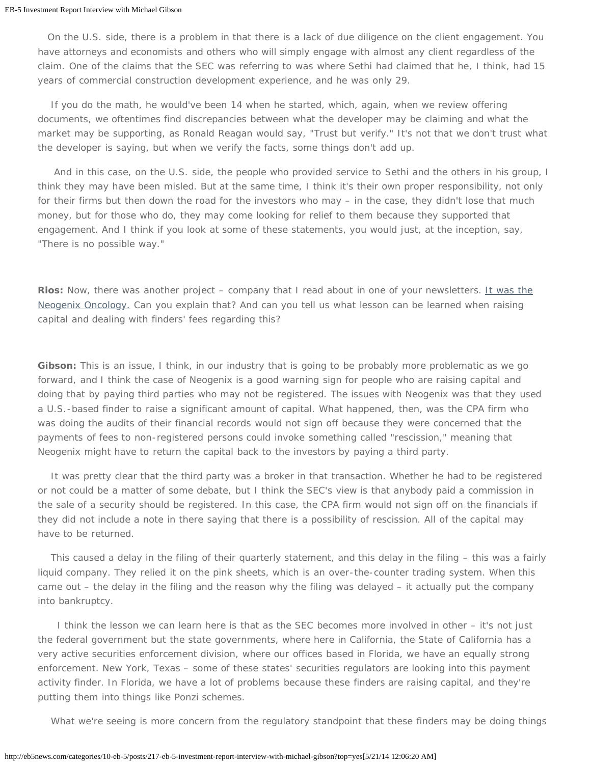On the U.S. side, there is a problem in that there is a lack of due diligence on the client engagement. You have attorneys and economists and others who will simply engage with almost any client regardless of the claim. One of the claims that the SEC was referring to was where Sethi had claimed that he, I think, had 15 years of commercial construction development experience, and he was only 29.

 If you do the math, he would've been 14 when he started, which, again, when we review offering documents, we oftentimes find discrepancies between what the developer may be claiming and what the market may be supporting, as Ronald Reagan would say, "Trust but verify." It's not that we don't trust what the developer is saying, but when we verify the facts, some things don't add up.

And in this case, on the U.S. side, the people who provided service to Sethi and the others in his group, I think they may have been misled. But at the same time, I think it's their own proper responsibility, not only for their firms but then down the road for the investors who may – in the case, they didn't lose that much money, but for those who do, they may come looking for relief to them because they supported that engagement. And I think if you look at some of these statements, you would just, at the inception, say, "There is no possible way."

**Rios:** Now, there was another project – company that I read about in one of your newsletters. [It was the](http://eb5news.com/categories/9-general/posts/142-risks-of-paying-fees-to-illegal-finders-for-eb-5-issuers-neogenix) [Neogenix Oncology.](http://eb5news.com/categories/9-general/posts/142-risks-of-paying-fees-to-illegal-finders-for-eb-5-issuers-neogenix) Can you explain that? And can you tell us what lesson can be learned when raising capital and dealing with finders' fees regarding this?

**Gibson:** This is an issue, I think, in our industry that is going to be probably more problematic as we go forward, and I think the case of Neogenix is a good warning sign for people who are raising capital and doing that by paying third parties who may not be registered. The issues with Neogenix was that they used a U.S.-based finder to raise a significant amount of capital. What happened, then, was the CPA firm who was doing the audits of their financial records would not sign off because they were concerned that the payments of fees to non-registered persons could invoke something called "rescission," meaning that Neogenix might have to return the capital back to the investors by paying a third party.

 It was pretty clear that the third party was a broker in that transaction. Whether he had to be registered or not could be a matter of some debate, but I think the SEC's view is that anybody paid a commission in the sale of a security should be registered. In this case, the CPA firm would not sign off on the financials if they did not include a note in there saying that there is a possibility of rescission. All of the capital may have to be returned.

 This caused a delay in the filing of their quarterly statement, and this delay in the filing – this was a fairly liquid company. They relied it on the pink sheets, which is an over-the-counter trading system. When this came out – the delay in the filing and the reason why the filing was delayed – it actually put the company into bankruptcy.

 I think the lesson we can learn here is that as the SEC becomes more involved in other – it's not just the federal government but the state governments, where here in California, the State of California has a very active securities enforcement division, where our offices based in Florida, we have an equally strong enforcement. New York, Texas – some of these states' securities regulators are looking into this payment activity finder. In Florida, we have a lot of problems because these finders are raising capital, and they're putting them into things like Ponzi schemes.

What we're seeing is more concern from the regulatory standpoint that these finders may be doing things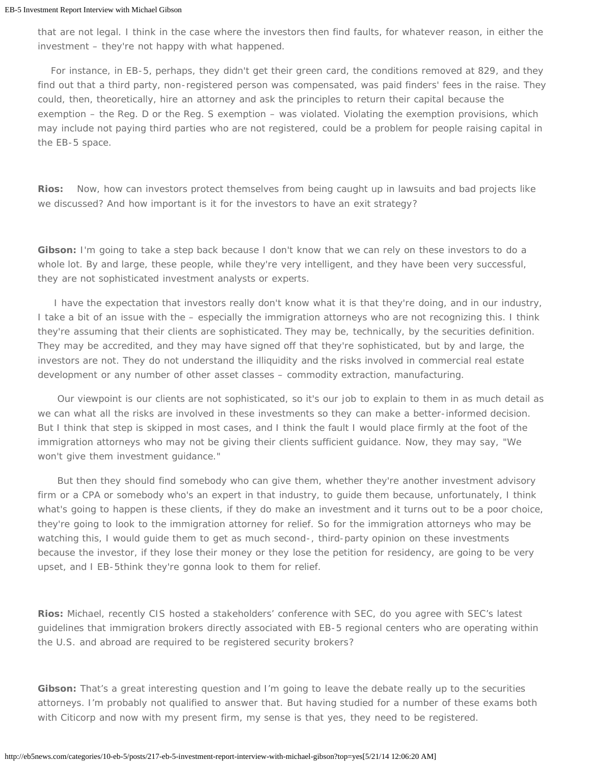that are not legal. I think in the case where the investors then find faults, for whatever reason, in either the investment – they're not happy with what happened.

 For instance, in EB-5, perhaps, they didn't get their green card, the conditions removed at 829, and they find out that a third party, non-registered person was compensated, was paid finders' fees in the raise. They could, then, theoretically, hire an attorney and ask the principles to return their capital because the exemption – the Reg. D or the Reg. S exemption – was violated. Violating the exemption provisions, which may include not paying third parties who are not registered, could be a problem for people raising capital in the EB-5 space.

**Rios:** Now, how can investors protect themselves from being caught up in lawsuits and bad projects like we discussed? And how important is it for the investors to have an exit strategy?

**Gibson:** I'm going to take a step back because I don't know that we can rely on these investors to do a whole lot. By and large, these people, while they're very intelligent, and they have been very successful, they are not sophisticated investment analysts or experts.

I have the expectation that investors really don't know what it is that they're doing, and in our industry, I take a bit of an issue with the – especially the immigration attorneys who are not recognizing this. I think they're assuming that their clients are sophisticated. They may be, technically, by the securities definition. They may be accredited, and they may have signed off that they're sophisticated, but by and large, the investors are not. They do not understand the illiquidity and the risks involved in commercial real estate development or any number of other asset classes – commodity extraction, manufacturing.

 Our viewpoint is our clients are not sophisticated, so it's our job to explain to them in as much detail as we can what all the risks are involved in these investments so they can make a better-informed decision. But I think that step is skipped in most cases, and I think the fault I would place firmly at the foot of the immigration attorneys who may not be giving their clients sufficient guidance. Now, they may say, "We won't give them investment guidance."

 But then they should find somebody who can give them, whether they're another investment advisory firm or a CPA or somebody who's an expert in that industry, to guide them because, unfortunately, I think what's going to happen is these clients, if they do make an investment and it turns out to be a poor choice, they're going to look to the immigration attorney for relief. So for the immigration attorneys who may be watching this, I would guide them to get as much second-, third-party opinion on these investments because the investor, if they lose their money or they lose the petition for residency, are going to be very upset, and I EB-5think they're gonna look to them for relief.

*Rios:* Michael, recently CIS hosted a stakeholders' conference with SEC, do you agree with SEC's latest guidelines that immigration brokers directly associated with EB-5 regional centers who are operating within the U.S. and abroad are required to be registered security brokers?

*Gibson:* That's a great interesting question and I'm going to leave the debate really up to the securities attorneys. I'm probably not qualified to answer that. But having studied for a number of these exams both with Citicorp and now with my present firm, my sense is that yes, they need to be registered.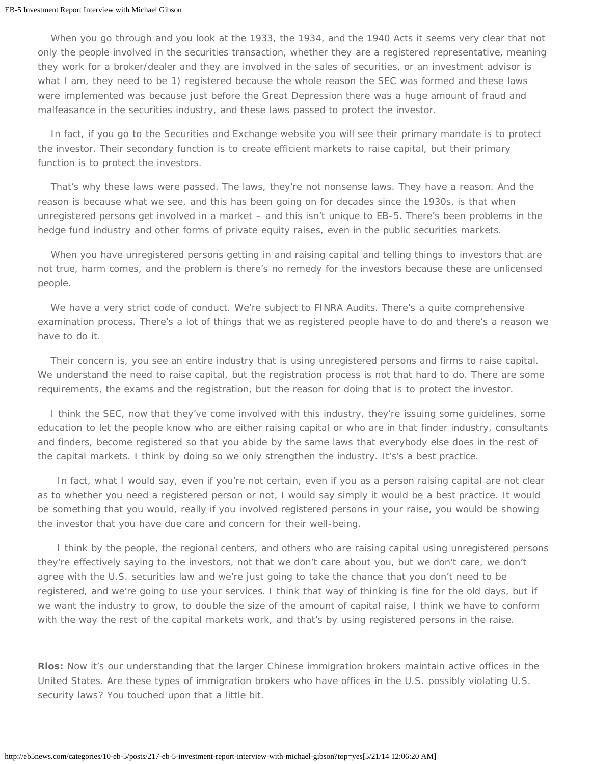When you go through and you look at the 1933, the 1934, and the 1940 Acts it seems very clear that not only the people involved in the securities transaction, whether they are a registered representative, meaning they work for a broker/dealer and they are involved in the sales of securities, or an investment advisor is what I am, they need to be 1) registered because the whole reason the SEC was formed and these laws were implemented was because just before the Great Depression there was a huge amount of fraud and malfeasance in the securities industry, and these laws passed to protect the investor.

 In fact, if you go to the Securities and Exchange website you will see their primary mandate is to protect the investor. Their secondary function is to create efficient markets to raise capital, but their primary function is to protect the investors.

 That's why these laws were passed. The laws, they're not nonsense laws. They have a reason. And the reason is because what we see, and this has been going on for decades since the 1930s, is that when unregistered persons get involved in a market – and this isn't unique to EB-5. There's been problems in the hedge fund industry and other forms of private equity raises, even in the public securities markets.

When you have unregistered persons getting in and raising capital and telling things to investors that are not true, harm comes, and the problem is there's no remedy for the investors because these are unlicensed people.

 We have a very strict code of conduct. We're subject to FINRA Audits. There's a quite comprehensive examination process. There's a lot of things that we as registered people have to do and there's a reason we have to do it.

 Their concern is, you see an entire industry that is using unregistered persons and firms to raise capital. We understand the need to raise capital, but the registration process is not that hard to do. There are some requirements, the exams and the registration, but the reason for doing that is to protect the investor.

 I think the SEC, now that they've come involved with this industry, they're issuing some guidelines, some education to let the people know who are either raising capital or who are in that finder industry, consultants and finders, become registered so that you abide by the same laws that everybody else does in the rest of the capital markets. I think by doing so we only strengthen the industry. It's's a best practice.

 In fact, what I would say, even if you're not certain, even if you as a person raising capital are not clear as to whether you need a registered person or not, I would say simply it would be a best practice. It would be something that you would, really if you involved registered persons in your raise, you would be showing the investor that you have due care and concern for their well-being.

 I think by the people, the regional centers, and others who are raising capital using unregistered persons they're effectively saying to the investors, not that we don't care about you, but we don't care, we don't agree with the U.S. securities law and we're just going to take the chance that you don't need to be registered, and we're going to use your services. I think that way of thinking is fine for the old days, but if we want the industry to grow, to double the size of the amount of capital raise, I think we have to conform with the way the rest of the capital markets work, and that's by using registered persons in the raise.

*Rios:* Now it's our understanding that the larger Chinese immigration brokers maintain active offices in the United States. Are these types of immigration brokers who have offices in the U.S. possibly violating U.S. security laws? You touched upon that a little bit.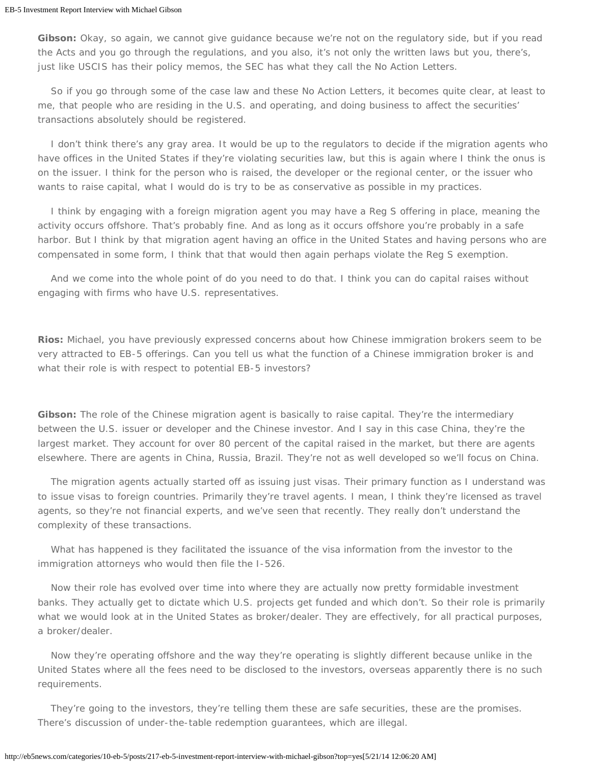*Gibson:* Okay, so again, we cannot give guidance because we're not on the regulatory side, but if you read the Acts and you go through the regulations, and you also, it's not only the written laws but you, there's, just like USCIS has their policy memos, the SEC has what they call the No Action Letters.

 So if you go through some of the case law and these No Action Letters, it becomes quite clear, at least to me, that people who are residing in the U.S. and operating, and doing business to affect the securities' transactions absolutely should be registered.

 I don't think there's any gray area. It would be up to the regulators to decide if the migration agents who have offices in the United States if they're violating securities law, but this is again where I think the onus is on the issuer. I think for the person who is raised, the developer or the regional center, or the issuer who wants to raise capital, what I would do is try to be as conservative as possible in my practices.

 I think by engaging with a foreign migration agent you may have a Reg S offering in place, meaning the activity occurs offshore. That's probably fine. And as long as it occurs offshore you're probably in a safe harbor. But I think by that migration agent having an office in the United States and having persons who are compensated in some form, I think that that would then again perhaps violate the Reg S exemption.

 And we come into the whole point of do you need to do that. I think you can do capital raises without engaging with firms who have U.S. representatives.

*Rios:* Michael, you have previously expressed concerns about how Chinese immigration brokers seem to be very attracted to EB-5 offerings. Can you tell us what the function of a Chinese immigration broker is and what their role is with respect to potential EB-5 investors?

*Gibson:* The role of the Chinese migration agent is basically to raise capital. They're the intermediary between the U.S. issuer or developer and the Chinese investor. And I say in this case China, they're the largest market. They account for over 80 percent of the capital raised in the market, but there are agents elsewhere. There are agents in China, Russia, Brazil. They're not as well developed so we'll focus on China.

 The migration agents actually started off as issuing just visas. Their primary function as I understand was to issue visas to foreign countries. Primarily they're travel agents. I mean, I think they're licensed as travel agents, so they're not financial experts, and we've seen that recently. They really don't understand the complexity of these transactions.

 What has happened is they facilitated the issuance of the visa information from the investor to the immigration attorneys who would then file the I-526.

 Now their role has evolved over time into where they are actually now pretty formidable investment banks. They actually get to dictate which U.S. projects get funded and which don't. So their role is primarily what we would look at in the United States as broker/dealer. They are effectively, for all practical purposes, a broker/dealer.

 Now they're operating offshore and the way they're operating is slightly different because unlike in the United States where all the fees need to be disclosed to the investors, overseas apparently there is no such requirements.

 They're going to the investors, they're telling them these are safe securities, these are the promises. There's discussion of under-the-table redemption guarantees, which are illegal.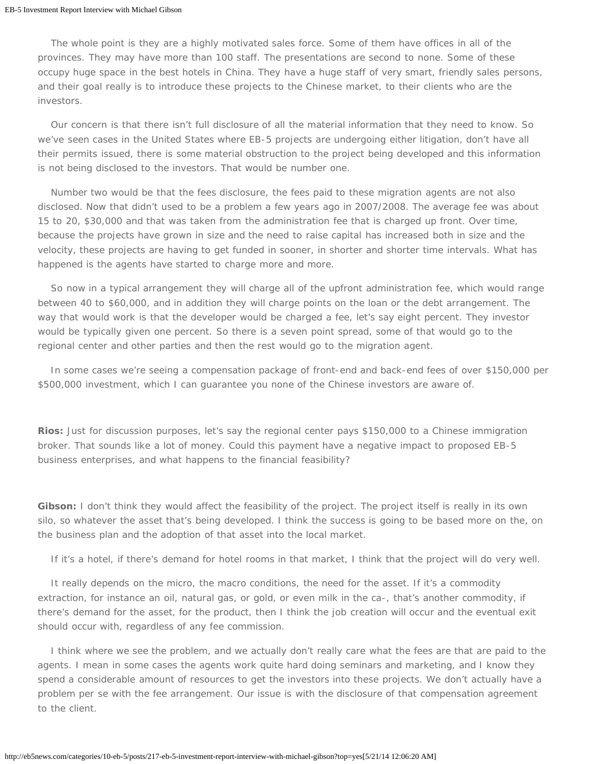The whole point is they are a highly motivated sales force. Some of them have offices in all of the provinces. They may have more than 100 staff. The presentations are second to none. Some of these occupy huge space in the best hotels in China. They have a huge staff of very smart, friendly sales persons, and their goal really is to introduce these projects to the Chinese market, to their clients who are the investors.

 Our concern is that there isn't full disclosure of all the material information that they need to know. So we've seen cases in the United States where EB-5 projects are undergoing either litigation, don't have all their permits issued, there is some material obstruction to the project being developed and this information is not being disclosed to the investors. That would be number one.

 Number two would be that the fees disclosure, the fees paid to these migration agents are not also disclosed. Now that didn't used to be a problem a few years ago in 2007/2008. The average fee was about 15 to 20, \$30,000 and that was taken from the administration fee that is charged up front. Over time, because the projects have grown in size and the need to raise capital has increased both in size and the velocity, these projects are having to get funded in sooner, in shorter and shorter time intervals. What has happened is the agents have started to charge more and more.

 So now in a typical arrangement they will charge all of the upfront administration fee, which would range between 40 to \$60,000, and in addition they will charge points on the loan or the debt arrangement. The way that would work is that the developer would be charged a fee, let's say eight percent. They investor would be typically given one percent. So there is a seven point spread, some of that would go to the regional center and other parties and then the rest would go to the migration agent.

 In some cases we're seeing a compensation package of front-end and back-end fees of over \$150,000 per \$500,000 investment, which I can guarantee you none of the Chinese investors are aware of.

*Rios:* Just for discussion purposes, let's say the regional center pays \$150,000 to a Chinese immigration broker. That sounds like a lot of money. Could this payment have a negative impact to proposed EB-5 business enterprises, and what happens to the financial feasibility?

*Gibson:* I don't think they would affect the feasibility of the project. The project itself is really in its own silo, so whatever the asset that's being developed. I think the success is going to be based more on the, on the business plan and the adoption of that asset into the local market.

If it's a hotel, if there's demand for hotel rooms in that market, I think that the project will do very well.

 It really depends on the micro, the macro conditions, the need for the asset. If it's a commodity extraction, for instance an oil, natural gas, or gold, or even milk in the ca-, that's another commodity, if there's demand for the asset, for the product, then I think the job creation will occur and the eventual exit should occur with, regardless of any fee commission.

 I think where we see the problem, and we actually don't really care what the fees are that are paid to the agents. I mean in some cases the agents work quite hard doing seminars and marketing, and I know they spend a considerable amount of resources to get the investors into these projects. We don't actually have a problem per se with the fee arrangement. Our issue is with the disclosure of that compensation agreement to the client.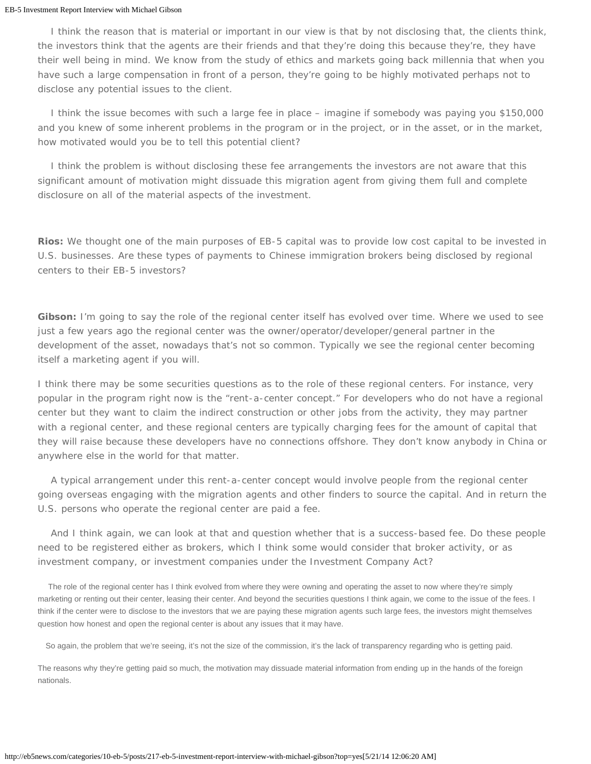I think the reason that is material or important in our view is that by not disclosing that, the clients think, the investors think that the agents are their friends and that they're doing this because they're, they have their well being in mind. We know from the study of ethics and markets going back millennia that when you have such a large compensation in front of a person, they're going to be highly motivated perhaps not to disclose any potential issues to the client.

 I think the issue becomes with such a large fee in place – imagine if somebody was paying you \$150,000 and you knew of some inherent problems in the program or in the project, or in the asset, or in the market, how motivated would you be to tell this potential client?

 I think the problem is without disclosing these fee arrangements the investors are not aware that this significant amount of motivation might dissuade this migration agent from giving them full and complete disclosure on all of the material aspects of the investment.

*Rios:* We thought one of the main purposes of EB-5 capital was to provide low cost capital to be invested in U.S. businesses. Are these types of payments to Chinese immigration brokers being disclosed by regional centers to their EB-5 investors?

*Gibson:* I'm going to say the role of the regional center itself has evolved over time. Where we used to see just a few years ago the regional center was the owner/operator/developer/general partner in the development of the asset, nowadays that's not so common. Typically we see the regional center becoming itself a marketing agent if you will.

I think there may be some securities questions as to the role of these regional centers. For instance, very popular in the program right now is the "rent-a-center concept." For developers who do not have a regional center but they want to claim the indirect construction or other jobs from the activity, they may partner with a regional center, and these regional centers are typically charging fees for the amount of capital that they will raise because these developers have no connections offshore. They don't know anybody in China or anywhere else in the world for that matter.

 A typical arrangement under this rent-a-center concept would involve people from the regional center going overseas engaging with the migration agents and other finders to source the capital. And in return the U.S. persons who operate the regional center are paid a fee.

 And I think again, we can look at that and question whether that is a success-based fee. Do these people need to be registered either as brokers, which I think some would consider that broker activity, or as investment company, or investment companies under the Investment Company Act?

 The role of the regional center has I think evolved from where they were owning and operating the asset to now where they're simply marketing or renting out their center, leasing their center. And beyond the securities questions I think again, we come to the issue of the fees. I think if the center were to disclose to the investors that we are paying these migration agents such large fees, the investors might themselves question how honest and open the regional center is about any issues that it may have.

So again, the problem that we're seeing, it's not the size of the commission, it's the lack of transparency regarding who is getting paid.

The reasons why they're getting paid so much, the motivation may dissuade material information from ending up in the hands of the foreign nationals.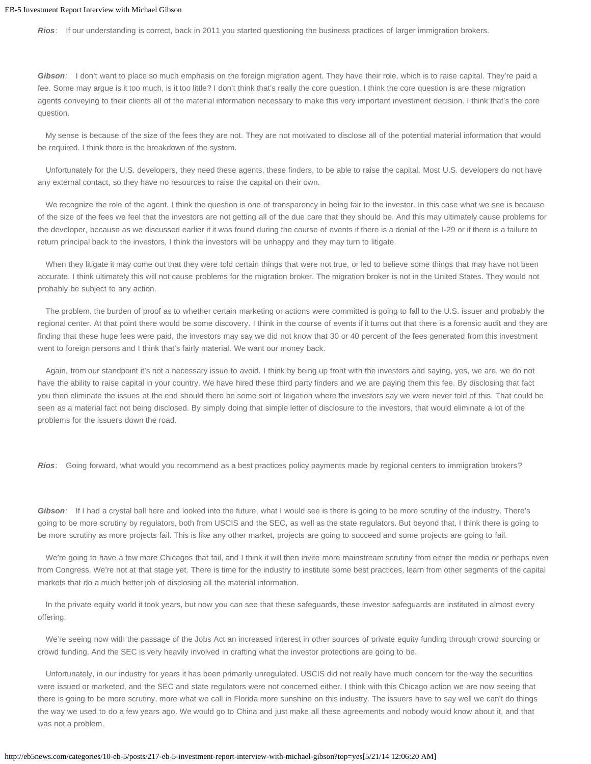*Rios:* If our understanding is correct, back in 2011 you started questioning the business practices of larger immigration brokers.

*Gibson:* I don't want to place so much emphasis on the foreign migration agent. They have their role, which is to raise capital. They're paid a fee. Some may argue is it too much, is it too little? I don't think that's really the core question. I think the core question is are these migration agents conveying to their clients all of the material information necessary to make this very important investment decision. I think that's the core question.

 My sense is because of the size of the fees they are not. They are not motivated to disclose all of the potential material information that would be required. I think there is the breakdown of the system.

 Unfortunately for the U.S. developers, they need these agents, these finders, to be able to raise the capital. Most U.S. developers do not have any external contact, so they have no resources to raise the capital on their own.

 We recognize the role of the agent. I think the question is one of transparency in being fair to the investor. In this case what we see is because of the size of the fees we feel that the investors are not getting all of the due care that they should be. And this may ultimately cause problems for the developer, because as we discussed earlier if it was found during the course of events if there is a denial of the I-29 or if there is a failure to return principal back to the investors, I think the investors will be unhappy and they may turn to litigate.

 When they litigate it may come out that they were told certain things that were not true, or led to believe some things that may have not been accurate. I think ultimately this will not cause problems for the migration broker. The migration broker is not in the United States. They would not probably be subject to any action.

 The problem, the burden of proof as to whether certain marketing or actions were committed is going to fall to the U.S. issuer and probably the regional center. At that point there would be some discovery. I think in the course of events if it turns out that there is a forensic audit and they are finding that these huge fees were paid, the investors may say we did not know that 30 or 40 percent of the fees generated from this investment went to foreign persons and I think that's fairly material. We want our money back.

 Again, from our standpoint it's not a necessary issue to avoid. I think by being up front with the investors and saying, yes, we are, we do not have the ability to raise capital in your country. We have hired these third party finders and we are paying them this fee. By disclosing that fact you then eliminate the issues at the end should there be some sort of litigation where the investors say we were never told of this. That could be seen as a material fact not being disclosed. By simply doing that simple letter of disclosure to the investors, that would eliminate a lot of the problems for the issuers down the road.

*Rios:* Going forward, what would you recommend as a best practices policy payments made by regional centers to immigration brokers?

Gibson: If I had a crystal ball here and looked into the future, what I would see is there is going to be more scrutiny of the industry. There's going to be more scrutiny by regulators, both from USCIS and the SEC, as well as the state regulators. But beyond that, I think there is going to be more scrutiny as more projects fail. This is like any other market, projects are going to succeed and some projects are going to fail.

We're going to have a few more Chicagos that fail, and I think it will then invite more mainstream scrutiny from either the media or perhaps even from Congress. We're not at that stage yet. There is time for the industry to institute some best practices, learn from other segments of the capital markets that do a much better job of disclosing all the material information.

 In the private equity world it took years, but now you can see that these safeguards, these investor safeguards are instituted in almost every offering.

 We're seeing now with the passage of the Jobs Act an increased interest in other sources of private equity funding through crowd sourcing or crowd funding. And the SEC is very heavily involved in crafting what the investor protections are going to be.

 Unfortunately, in our industry for years it has been primarily unregulated. USCIS did not really have much concern for the way the securities were issued or marketed, and the SEC and state regulators were not concerned either. I think with this Chicago action we are now seeing that there is going to be more scrutiny, more what we call in Florida more sunshine on this industry. The issuers have to say well we can't do things the way we used to do a few years ago. We would go to China and just make all these agreements and nobody would know about it, and that was not a problem.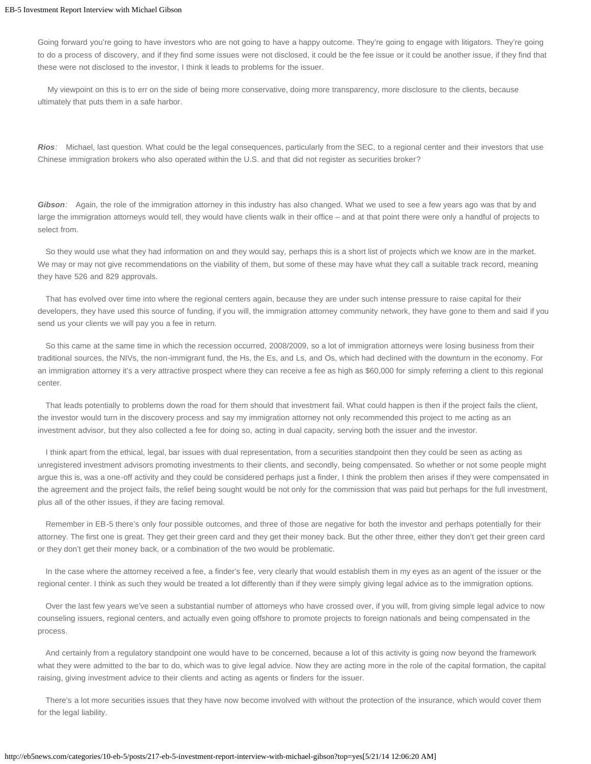Going forward you're going to have investors who are not going to have a happy outcome. They're going to engage with litigators. They're going to do a process of discovery, and if they find some issues were not disclosed, it could be the fee issue or it could be another issue, if they find that these were not disclosed to the investor, I think it leads to problems for the issuer.

My viewpoint on this is to err on the side of being more conservative, doing more transparency, more disclosure to the clients, because ultimately that puts them in a safe harbor.

*Rios:* Michael, last question. What could be the legal consequences, particularly from the SEC, to a regional center and their investors that use Chinese immigration brokers who also operated within the U.S. and that did not register as securities broker?

*Gibson:* Again, the role of the immigration attorney in this industry has also changed. What we used to see a few years ago was that by and large the immigration attorneys would tell, they would have clients walk in their office – and at that point there were only a handful of projects to select from.

 So they would use what they had information on and they would say, perhaps this is a short list of projects which we know are in the market. We may or may not give recommendations on the viability of them, but some of these may have what they call a suitable track record, meaning they have 526 and 829 approvals.

 That has evolved over time into where the regional centers again, because they are under such intense pressure to raise capital for their developers, they have used this source of funding, if you will, the immigration attorney community network, they have gone to them and said if you send us your clients we will pay you a fee in return.

 So this came at the same time in which the recession occurred, 2008/2009, so a lot of immigration attorneys were losing business from their traditional sources, the NIVs, the non-immigrant fund, the Hs, the Es, and Ls, and Os, which had declined with the downturn in the economy. For an immigration attorney it's a very attractive prospect where they can receive a fee as high as \$60,000 for simply referring a client to this regional center.

 That leads potentially to problems down the road for them should that investment fail. What could happen is then if the project fails the client, the investor would turn in the discovery process and say my immigration attorney not only recommended this project to me acting as an investment advisor, but they also collected a fee for doing so, acting in dual capacity, serving both the issuer and the investor.

 I think apart from the ethical, legal, bar issues with dual representation, from a securities standpoint then they could be seen as acting as unregistered investment advisors promoting investments to their clients, and secondly, being compensated. So whether or not some people might argue this is, was a one-off activity and they could be considered perhaps just a finder, I think the problem then arises if they were compensated in the agreement and the project fails, the relief being sought would be not only for the commission that was paid but perhaps for the full investment, plus all of the other issues, if they are facing removal.

 Remember in EB-5 there's only four possible outcomes, and three of those are negative for both the investor and perhaps potentially for their attorney. The first one is great. They get their green card and they get their money back. But the other three, either they don't get their green card or they don't get their money back, or a combination of the two would be problematic.

 In the case where the attorney received a fee, a finder's fee, very clearly that would establish them in my eyes as an agent of the issuer or the regional center. I think as such they would be treated a lot differently than if they were simply giving legal advice as to the immigration options.

 Over the last few years we've seen a substantial number of attorneys who have crossed over, if you will, from giving simple legal advice to now counseling issuers, regional centers, and actually even going offshore to promote projects to foreign nationals and being compensated in the process.

 And certainly from a regulatory standpoint one would have to be concerned, because a lot of this activity is going now beyond the framework what they were admitted to the bar to do, which was to give legal advice. Now they are acting more in the role of the capital formation, the capital raising, giving investment advice to their clients and acting as agents or finders for the issuer.

 There's a lot more securities issues that they have now become involved with without the protection of the insurance, which would cover them for the legal liability.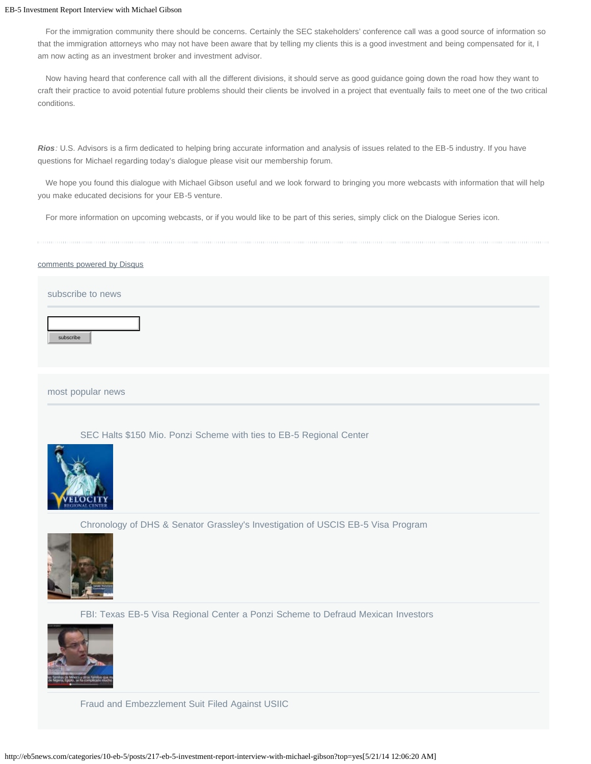For the immigration community there should be concerns. Certainly the SEC stakeholders' conference call was a good source of information so that the immigration attorneys who may not have been aware that by telling my clients this is a good investment and being compensated for it, I am now acting as an investment broker and investment advisor.

 Now having heard that conference call with all the different divisions, it should serve as good guidance going down the road how they want to craft their practice to avoid potential future problems should their clients be involved in a project that eventually fails to meet one of the two critical conditions.

*Rios:* U.S. Advisors is a firm dedicated to helping bring accurate information and analysis of issues related to the EB-5 industry. If you have questions for Michael regarding today's dialogue please visit our membership forum.

 We hope you found this dialogue with Michael Gibson useful and we look forward to bringing you more webcasts with information that will help you make educated decisions for your EB-5 venture.

For more information on upcoming webcasts, or if you would like to be part of this series, simply click on the Dialogue Series icon.

#### [comments powered by Disqus](http://disqus.com/)

#### subscribe to news

subscribe

most popular news

[SEC Halts \\$150 Mio. Ponzi Scheme with ties to EB-5 Regional Center](http://eb5news.com/categories/14-investigations/posts/246-sec-halts-150-mio-ponzi-scheme-with-ties-to-eb-5-regional-center?top=yes)



[Chronology of DHS & Senator Grassley's Investigation of USCIS EB-5 Visa Program](http://eb5news.com/categories/14-investigations/posts/213-chronology-of-dhs-senator-grassley-s-investigation-of-uscis-eb-5-visa-program?top=yes)



[FBI: Texas EB-5 Visa Regional Center a Ponzi Scheme to Defraud Mexican Investors](http://eb5news.com/categories/14-investigations/posts/216-fbi-texas-eb-5-visa-regional-center-a-ponzi-scheme-to-defraud-mexican-investors?top=yes)



[Fraud and Embezzlement Suit Filed Against USIIC](http://eb5news.com/categories/9-general/posts/230-fraud-and-embezzlement-suit-filed-against-usiic?top=yes)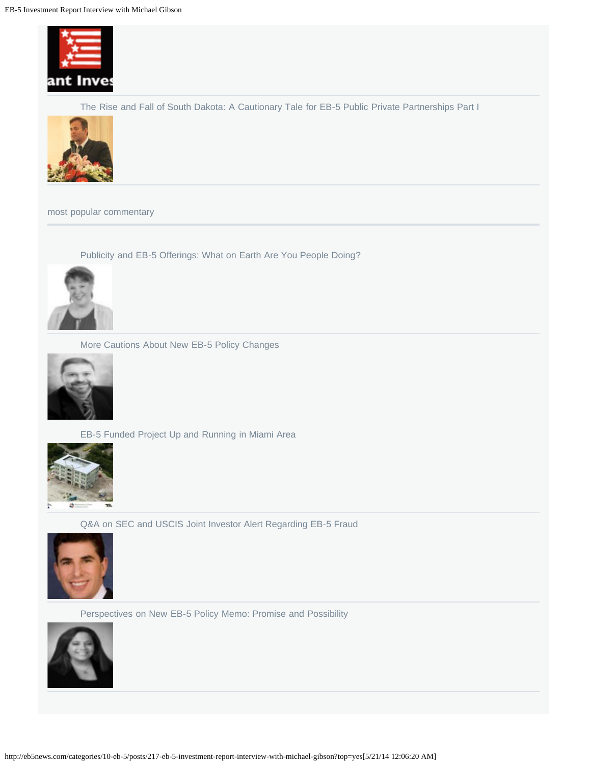

[The Rise and Fall of South Dakota: A Cautionary Tale for EB-5 Public Private Partnerships Part I](http://eb5news.com/categories/12-projects/posts/247-the-rise-and-fall-of-south-dakota-a-cautionary-tale-for-eb-5-public-private-partnerships-part-i?top=yes)



most popular commentary

[Publicity and EB-5 Offerings: What on Earth Are You People Doing?](http://eb5news.com/categories/15-regulatory/posts/203-publicity-and-eb-5-offerings-what-on-earth-are-you-people-doing)



[More Cautions About New EB-5 Policy Changes](http://eb5news.com/categories/15-regulatory/posts/201-more-cautions-about-new-eb-5-policy-changes)



[EB-5 Funded Project Up and Running in Miami Area](http://eb5news.com/categories/12-projects/posts/229-eb-5-funded-project-up-and-running-in-miami-area)



[Q&A on SEC and USCIS Joint Investor Alert Regarding EB-5 Fraud](http://eb5news.com/categories/13-fraud/posts/233-q-a-on-sec-and-uscis-joint-investor-alert-regarding-eb-5-fraud)



[Perspectives on New EB-5 Policy Memo: Promise and Possibility](http://eb5news.com/categories/15-regulatory/posts/199-perspectives-on-new-eb-5-policy-memo-promise-and-possibility)